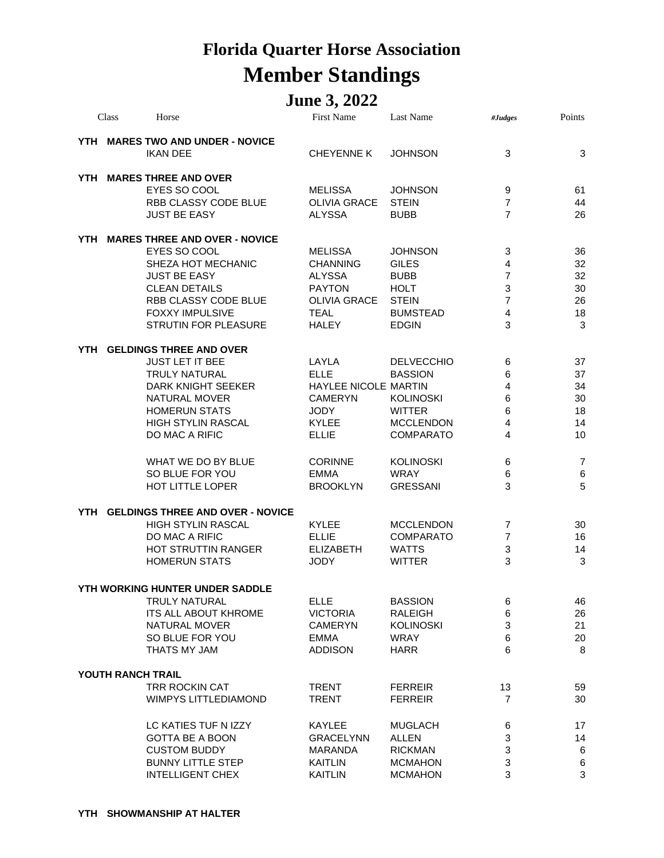## **Florida Quarter Horse Association Member Standings**

## **June 3, 2022**

|     | Class             | Horse                                                                                                                                                                                                 | <b>First Name</b>                                                                                                         | <b>Last Name</b>                                                                                                 | #Judges                                                                                      | Points                                 |
|-----|-------------------|-------------------------------------------------------------------------------------------------------------------------------------------------------------------------------------------------------|---------------------------------------------------------------------------------------------------------------------------|------------------------------------------------------------------------------------------------------------------|----------------------------------------------------------------------------------------------|----------------------------------------|
|     |                   | YTH MARES TWO AND UNDER - NOVICE<br><b>IKAN DEE</b>                                                                                                                                                   | <b>CHEYENNE K</b>                                                                                                         | <b>JOHNSON</b>                                                                                                   | 3                                                                                            | 3                                      |
|     |                   | YTH MARES THREE AND OVER<br>EYES SO COOL<br>RBB CLASSY CODE BLUE<br><b>JUST BE EASY</b>                                                                                                               | MELISSA<br><b>OLIVIA GRACE</b><br><b>ALYSSA</b>                                                                           | <b>JOHNSON</b><br><b>STEIN</b><br><b>BUBB</b>                                                                    | 9<br>$\overline{7}$<br>$\overline{7}$                                                        | 61<br>44<br>26                         |
| YTH |                   | <b>MARES THREE AND OVER - NOVICE</b><br>EYES SO COOL<br>SHEZA HOT MECHANIC<br><b>JUST BE EASY</b><br><b>CLEAN DETAILS</b><br>RBB CLASSY CODE BLUE<br>FOXXY IMPULSIVE<br>STRUTIN FOR PLEASURE          | <b>MELISSA</b><br><b>CHANNING</b><br><b>ALYSSA</b><br><b>PAYTON</b><br><b>OLIVIA GRACE</b><br><b>TEAL</b><br><b>HALEY</b> | <b>JOHNSON</b><br><b>GILES</b><br><b>BUBB</b><br><b>HOLT</b><br><b>STEIN</b><br><b>BUMSTEAD</b><br><b>EDGIN</b>  | 3<br>$\overline{4}$<br>$\overline{7}$<br>3<br>$\overline{7}$<br>$\overline{\mathbf{4}}$<br>3 | 36<br>32<br>32<br>30<br>26<br>18<br>3  |
| YTH |                   | <b>GELDINGS THREE AND OVER</b><br><b>JUST LET IT BEE</b><br><b>TRULY NATURAL</b><br>DARK KNIGHT SEEKER<br><b>NATURAL MOVER</b><br><b>HOMERUN STATS</b><br><b>HIGH STYLIN RASCAL</b><br>DO MAC A RIFIC | LAYLA<br><b>ELLE</b><br>HAYLEE NICOLE MARTIN<br><b>CAMERYN</b><br><b>JODY</b><br><b>KYLEE</b><br><b>ELLIE</b>             | <b>DELVECCHIO</b><br><b>BASSION</b><br><b>KOLINOSKI</b><br><b>WITTER</b><br><b>MCCLENDON</b><br><b>COMPARATO</b> | 6<br>6<br>4<br>6<br>6<br>4<br>4                                                              | 37<br>37<br>34<br>30<br>18<br>14<br>10 |
|     |                   | WHAT WE DO BY BLUE<br>SO BLUE FOR YOU<br>HOT LITTLE LOPER                                                                                                                                             | <b>CORINNE</b><br><b>EMMA</b><br><b>BROOKLYN</b>                                                                          | <b>KOLINOSKI</b><br><b>WRAY</b><br><b>GRESSANI</b>                                                               | 6<br>6<br>3                                                                                  | 7<br>6<br>5                            |
| YTH |                   | <b>GELDINGS THREE AND OVER - NOVICE</b><br><b>HIGH STYLIN RASCAL</b><br>DO MAC A RIFIC<br>HOT STRUTTIN RANGER<br><b>HOMERUN STATS</b>                                                                 | <b>KYLEE</b><br><b>ELLIE</b><br><b>ELIZABETH</b><br><b>JODY</b>                                                           | <b>MCCLENDON</b><br><b>COMPARATO</b><br><b>WATTS</b><br><b>WITTER</b>                                            | 7<br>7<br>3<br>3                                                                             | 30<br>16<br>14<br>3                    |
|     |                   | YTH WORKING HUNTER UNDER SADDLE                                                                                                                                                                       |                                                                                                                           |                                                                                                                  |                                                                                              |                                        |
|     |                   | TRULY NATURAL<br><b>ITS ALL ABOUT KHROME</b><br><b>NATURAL MOVER</b><br>SO BLUE FOR YOU<br>THATS MY JAM                                                                                               | <b>ELLE</b><br><b>VICTORIA</b><br>CAMERYN<br>EMMA<br><b>ADDISON</b>                                                       | <b>BASSION</b><br>RALEIGH<br><b>KOLINOSKI</b><br><b>WRAY</b><br><b>HARR</b>                                      | 6<br>6<br>3<br>6<br>6                                                                        | 46<br>26<br>21<br>20<br>8              |
|     | YOUTH RANCH TRAIL |                                                                                                                                                                                                       |                                                                                                                           |                                                                                                                  |                                                                                              |                                        |
|     |                   | TRR ROCKIN CAT<br>WIMPYS LITTLEDIAMOND                                                                                                                                                                | <b>TRENT</b><br><b>TRENT</b>                                                                                              | <b>FERREIR</b><br><b>FERREIR</b>                                                                                 | 13<br>7                                                                                      | 59<br>30                               |
|     |                   | LC KATIES TUF N IZZY<br><b>GOTTA BE A BOON</b><br><b>CUSTOM BUDDY</b><br><b>BUNNY LITTLE STEP</b><br><b>INTELLIGENT CHEX</b>                                                                          | <b>KAYLEE</b><br><b>GRACELYNN</b><br><b>MARANDA</b><br><b>KAITLIN</b><br><b>KAITLIN</b>                                   | <b>MUGLACH</b><br><b>ALLEN</b><br><b>RICKMAN</b><br><b>MCMAHON</b><br><b>MCMAHON</b>                             | 6<br>3<br>3<br>3<br>3                                                                        | 17<br>14<br>6<br>6<br>3                |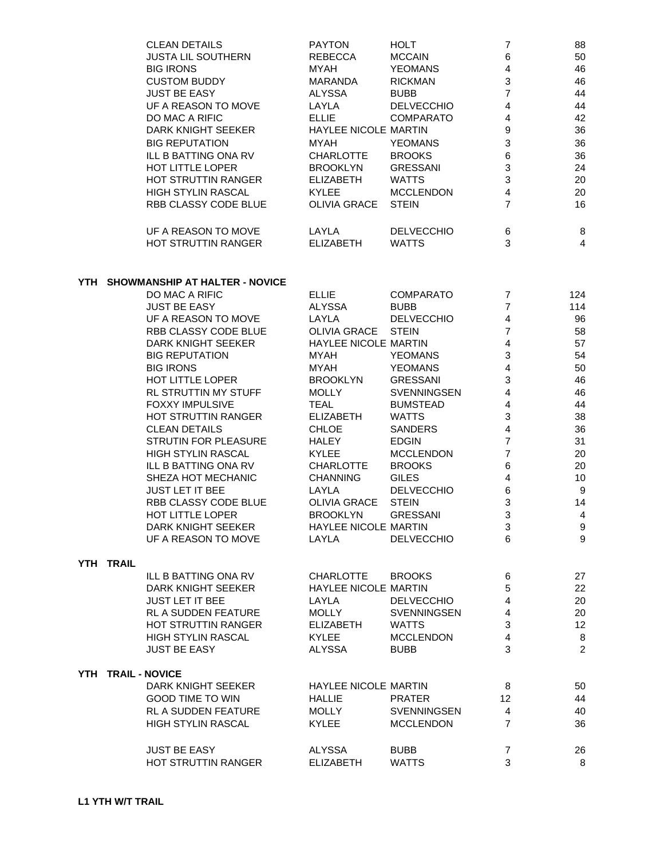| <b>CLEAN DETAILS</b> | <b>PAYTON</b>               | <b>HOLT</b>       |   | 88 |
|----------------------|-----------------------------|-------------------|---|----|
| JUSTA LIL SOUTHERN   | <b>REBECCA</b>              | <b>MCCAIN</b>     | 6 | 50 |
| <b>BIG IRONS</b>     | MYAH                        | <b>YEOMANS</b>    | 4 | 46 |
| CUSTOM BUDDY         | MARANDA                     | <b>RICKMAN</b>    | 3 | 46 |
| <b>JUST BE EASY</b>  | ALYSSA                      | <b>BUBB</b>       | 7 | 44 |
| UF A REASON TO MOVE  | LAYLA                       | <b>DELVECCHIO</b> | 4 | 44 |
| DO MAC A RIFIC       | <b>ELLIE</b>                | <b>COMPARATO</b>  | 4 | 42 |
| DARK KNIGHT SEEKER   | <b>HAYLEE NICOLE MARTIN</b> |                   | 9 | 36 |
| BIG REPUTATION       | MYAH                        | <b>YEOMANS</b>    | 3 | 36 |
| ILL B BATTING ONA RV | CHARLOTTE                   | <b>BROOKS</b>     | 6 | 36 |
| HOT LITTLE LOPER     | <b>BROOKLYN</b>             | <b>GRESSANI</b>   | 3 | 24 |
| HOT STRUTTIN RANGER  | <b>ELIZABETH</b>            | <b>WATTS</b>      | 3 | 20 |
| HIGH STYLIN RASCAL   | <b>KYLEE</b>                | <b>MCCLENDON</b>  | 4 | 20 |
| RBB CLASSY CODE BLUE | OLIVIA GRACE                | <b>STEIN</b>      | 7 | 16 |
| UF A REASON TO MOVE  | LAYLA                       | <b>DELVECCHIO</b> | 6 | 8  |
| HOT STRUTTIN RANGER  | <b>ELIZABETH</b>            | <b>WATTS</b>      | 3 | 4  |
|                      |                             |                   |   |    |

## **YTH SHOWMANSHIP AT HALTER - NOVICE**

|           | DO MAC A RIFIC              | <b>ELLIE</b>                | <b>COMPARATO</b>   | $\overline{7}$          | 124              |
|-----------|-----------------------------|-----------------------------|--------------------|-------------------------|------------------|
|           | <b>JUST BE EASY</b>         | <b>ALYSSA</b>               | <b>BUBB</b>        | $\overline{7}$          | 114              |
|           | UF A REASON TO MOVE         | LAYLA                       | <b>DELVECCHIO</b>  | 4                       | 96               |
|           | RBB CLASSY CODE BLUE        | OLIVIA GRACE                | <b>STEIN</b>       | $\overline{7}$          | 58               |
|           | DARK KNIGHT SEEKER          | HAYLEE NICOLE MARTIN        |                    | $\overline{4}$          | 57               |
|           | <b>BIG REPUTATION</b>       | MYAH                        | <b>YEOMANS</b>     | 3                       | 54               |
|           | <b>BIG IRONS</b>            | <b>MYAH</b>                 | <b>YEOMANS</b>     | $\overline{4}$          | 50               |
|           | HOT LITTLE LOPER            | <b>BROOKLYN</b>             | <b>GRESSANI</b>    | 3                       | 46               |
|           | RL STRUTTIN MY STUFF        | <b>MOLLY</b>                | SVENNINGSEN        | $\overline{4}$          | 46               |
|           | <b>FOXXY IMPULSIVE</b>      | <b>TEAL</b>                 | <b>BUMSTEAD</b>    | $\overline{\mathbf{4}}$ | 44               |
|           | <b>HOT STRUTTIN RANGER</b>  | <b>ELIZABETH</b>            | <b>WATTS</b>       | 3                       | 38               |
|           | <b>CLEAN DETAILS</b>        | <b>CHLOE</b>                | <b>SANDERS</b>     | $\overline{\mathbf{4}}$ | 36               |
|           | <b>STRUTIN FOR PLEASURE</b> | HALEY                       | <b>EDGIN</b>       | $\overline{7}$          | 31               |
|           | HIGH STYLIN RASCAL          | <b>KYLEE</b>                | <b>MCCLENDON</b>   | $\overline{7}$          | 20               |
|           | ILL B BATTING ONA RV        | CHARLOTTE                   | <b>BROOKS</b>      | 6                       | 20               |
|           | SHEZA HOT MECHANIC          | <b>CHANNING</b>             | <b>GILES</b>       | $\overline{4}$          | 10               |
|           | JUST LET IT BEE             | LAYLA                       | <b>DELVECCHIO</b>  | 6                       | 9                |
|           | RBB CLASSY CODE BLUE        | OLIVIA GRACE                | <b>STEIN</b>       | 3                       | 14               |
|           | HOT LITTLE LOPER            | <b>BROOKLYN</b>             | <b>GRESSANI</b>    | 3                       | $\overline{4}$   |
|           | DARK KNIGHT SEEKER          | <b>HAYLEE NICOLE MARTIN</b> |                    | $\overline{3}$          | $\boldsymbol{9}$ |
|           | UF A REASON TO MOVE         | LAYLA                       | <b>DELVECCHIO</b>  | 6                       | 9                |
| YTH TRAIL |                             |                             |                    |                         |                  |
|           | ILL B BATTING ONA RV        | CHARLOTTE                   | <b>BROOKS</b>      | 6                       | 27               |
|           | DARK KNIGHT SEEKER          | HAYLEE NICOLE MARTIN        |                    | 5                       | 22               |
|           | <b>JUST LET IT BEE</b>      | LAYLA                       | <b>DELVECCHIO</b>  | $\overline{\mathbf{4}}$ | 20               |
|           | RL A SUDDEN FEATURE         | <b>MOLLY</b>                | <b>SVENNINGSEN</b> | $\overline{4}$          | 20               |
|           | HOT STRUTTIN RANGER         | <b>ELIZABETH</b>            | <b>WATTS</b>       | 3                       | 12               |
|           | <b>HIGH STYLIN RASCAL</b>   | <b>KYLEE</b>                | <b>MCCLENDON</b>   | $\overline{4}$          | 8                |
|           | <b>JUST BE EASY</b>         | <b>ALYSSA</b>               | <b>BUBB</b>        | 3                       | $\overline{2}$   |
|           | YTH TRAIL - NOVICE          |                             |                    |                         |                  |
|           | DARK KNIGHT SEEKER          | HAYLEE NICOLE MARTIN        |                    | 8                       | 50               |
|           | <b>GOOD TIME TO WIN</b>     | <b>HALLIE</b>               | <b>PRATER</b>      | 12                      | 44               |
|           | RL A SUDDEN FEATURE         | <b>MOLLY</b>                | SVENNINGSEN        | $\overline{4}$          | 40               |
|           | <b>HIGH STYLIN RASCAL</b>   | <b>KYLEE</b>                | <b>MCCLENDON</b>   | $\overline{7}$          | 36               |
|           | <b>JUST BE EASY</b>         | <b>ALYSSA</b>               | <b>BUBB</b>        | $\overline{7}$          | 26               |
|           | HOT STRUTTIN RANGER         | <b>ELIZABETH</b>            | <b>WATTS</b>       | 3                       | 8                |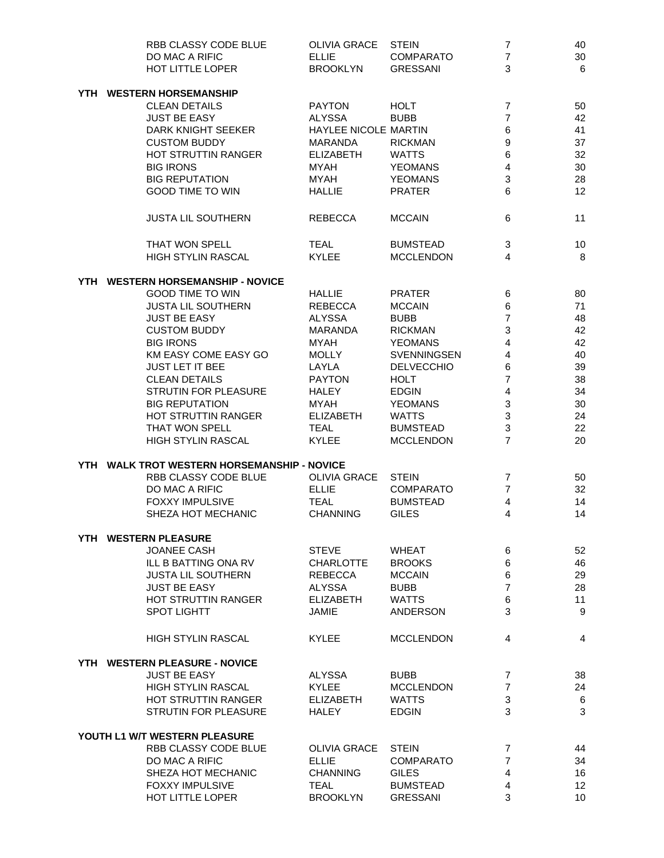|      | RBB CLASSY CODE BLUE                        | OLIVIA GRACE         | <b>STEIN</b>      | $\overline{7}$          | 40           |
|------|---------------------------------------------|----------------------|-------------------|-------------------------|--------------|
|      | DO MAC A RIFIC                              | <b>ELLIE</b>         | <b>COMPARATO</b>  | $\overline{7}$          | 30           |
|      | HOT LITTLE LOPER                            | <b>BROOKLYN</b>      | <b>GRESSANI</b>   | 3                       | 6            |
| YTH. | <b>WESTERN HORSEMANSHIP</b>                 |                      |                   |                         |              |
|      | <b>CLEAN DETAILS</b>                        | <b>PAYTON</b>        | <b>HOLT</b>       | $\overline{7}$          | 50           |
|      | <b>JUST BE EASY</b>                         | ALYSSA               | <b>BUBB</b>       | $\overline{7}$          | 42           |
|      | DARK KNIGHT SEEKER                          | HAYLEE NICOLE MARTIN |                   | 6                       | 41           |
|      | <b>CUSTOM BUDDY</b>                         | MARANDA              | <b>RICKMAN</b>    | 9                       | 37           |
|      | HOT STRUTTIN RANGER                         | <b>ELIZABETH</b>     | <b>WATTS</b>      | 6                       | 32           |
|      | <b>BIG IRONS</b>                            | <b>MYAH</b>          | <b>YEOMANS</b>    | $\overline{4}$          | 30           |
|      | <b>BIG REPUTATION</b>                       | <b>MYAH</b>          | <b>YEOMANS</b>    | 3                       | 28           |
|      | <b>GOOD TIME TO WIN</b>                     | <b>HALLIE</b>        | <b>PRATER</b>     | 6                       | 12           |
|      | <b>JUSTA LIL SOUTHERN</b>                   | <b>REBECCA</b>       | <b>MCCAIN</b>     | 6                       | 11           |
|      | THAT WON SPELL                              | TEAL                 | <b>BUMSTEAD</b>   | 3                       | 10           |
|      | HIGH STYLIN RASCAL                          | <b>KYLEE</b>         | <b>MCCLENDON</b>  | $\overline{4}$          | 8            |
|      | YTH WESTERN HORSEMANSHIP - NOVICE           |                      |                   |                         |              |
|      | <b>GOOD TIME TO WIN</b>                     | <b>HALLIE</b>        | <b>PRATER</b>     | 6                       | 80           |
|      | <b>JUSTA LIL SOUTHERN</b>                   | <b>REBECCA</b>       | <b>MCCAIN</b>     | 6                       | 71           |
|      | <b>JUST BE EASY</b>                         | <b>ALYSSA</b>        | <b>BUBB</b>       | $\overline{7}$          | 48           |
|      | <b>CUSTOM BUDDY</b>                         | <b>MARANDA</b>       | <b>RICKMAN</b>    | 3                       | 42           |
|      | <b>BIG IRONS</b>                            | <b>MYAH</b>          | <b>YEOMANS</b>    | $\overline{4}$          | 42           |
|      | KM EASY COME EASY GO                        | <b>MOLLY</b>         | SVENNINGSEN       | $\overline{\mathbf{4}}$ | 40           |
|      | <b>JUST LET IT BEE</b>                      | LAYLA                | <b>DELVECCHIO</b> | 6                       | 39           |
|      | <b>CLEAN DETAILS</b>                        | <b>PAYTON</b>        | <b>HOLT</b>       | $\overline{7}$          | 38           |
|      | STRUTIN FOR PLEASURE                        | <b>HALEY</b>         | <b>EDGIN</b>      | 4                       | 34           |
|      | <b>BIG REPUTATION</b>                       | MYAH                 | <b>YEOMANS</b>    | 3                       | 30           |
|      | HOT STRUTTIN RANGER                         | <b>ELIZABETH</b>     | <b>WATTS</b>      | 3                       | 24           |
|      | THAT WON SPELL                              | <b>TEAL</b>          | <b>BUMSTEAD</b>   | 3                       | 22           |
|      | HIGH STYLIN RASCAL                          | <b>KYLEE</b>         | <b>MCCLENDON</b>  | $\overline{7}$          | 20           |
|      | YTH WALK TROT WESTERN HORSEMANSHIP - NOVICE |                      |                   |                         |              |
|      | RBB CLASSY CODE BLUE                        | OLIVIA GRACE         | <b>STEIN</b>      | $\overline{7}$          | 50           |
|      | DO MAC A RIFIC                              | <b>ELLIE</b>         | <b>COMPARATO</b>  | $\overline{7}$          | 32           |
|      | <b>FOXXY IMPULSIVE</b>                      | <b>TEAL</b>          | <b>BUMSTEAD</b>   | 4                       | 14           |
|      | SHEZA HOT MECHANIC                          | <b>CHANNING</b>      | <b>GILES</b>      | 4                       | 14           |
|      | YTH WESTERN PLEASURE                        |                      |                   |                         |              |
|      | <b>JOANEE CASH</b>                          | <b>STEVE</b>         | <b>WHEAT</b>      | 6                       | 52           |
|      | ILL B BATTING ONA RV                        | <b>CHARLOTTE</b>     | <b>BROOKS</b>     | 6                       | 46           |
|      | <b>JUSTA LIL SOUTHERN</b>                   | <b>REBECCA</b>       | <b>MCCAIN</b>     | 6                       | 29           |
|      | <b>JUST BE EASY</b>                         | <b>ALYSSA</b>        | <b>BUBB</b>       | $\overline{7}$          | 28           |
|      | HOT STRUTTIN RANGER                         | ELIZABETH            | <b>WATTS</b>      | 6                       | 11           |
|      | <b>SPOT LIGHTT</b>                          | JAMIE                | ANDERSON          | 3                       | 9            |
|      | <b>HIGH STYLIN RASCAL</b>                   | <b>KYLEE</b>         | <b>MCCLENDON</b>  | 4                       | 4            |
|      | YTH WESTERN PLEASURE - NOVICE               |                      |                   |                         |              |
|      | <b>JUST BE EASY</b>                         | <b>ALYSSA</b>        | <b>BUBB</b>       | 7                       | 38           |
|      | <b>HIGH STYLIN RASCAL</b>                   | <b>KYLEE</b>         | <b>MCCLENDON</b>  | $\overline{7}$          | 24           |
|      | <b>HOT STRUTTIN RANGER</b>                  | <b>ELIZABETH</b>     | <b>WATTS</b>      | 3                       | $\,6$        |
|      | <b>STRUTIN FOR PLEASURE</b>                 | <b>HALEY</b>         | <b>EDGIN</b>      | 3                       | $\mathbf{3}$ |
|      | YOUTH L1 W/T WESTERN PLEASURE               |                      |                   |                         |              |
|      | RBB CLASSY CODE BLUE                        | <b>OLIVIA GRACE</b>  | <b>STEIN</b>      | 7                       | 44           |
|      | DO MAC A RIFIC                              | ELLIE                | <b>COMPARATO</b>  | $\overline{7}$          | 34           |
|      | SHEZA HOT MECHANIC                          | <b>CHANNING</b>      | <b>GILES</b>      | 4                       | 16           |
|      | <b>FOXXY IMPULSIVE</b>                      | <b>TEAL</b>          | <b>BUMSTEAD</b>   | 4                       | 12           |
|      | HOT LITTLE LOPER                            | <b>BROOKLYN</b>      | <b>GRESSANI</b>   | 3                       | 10           |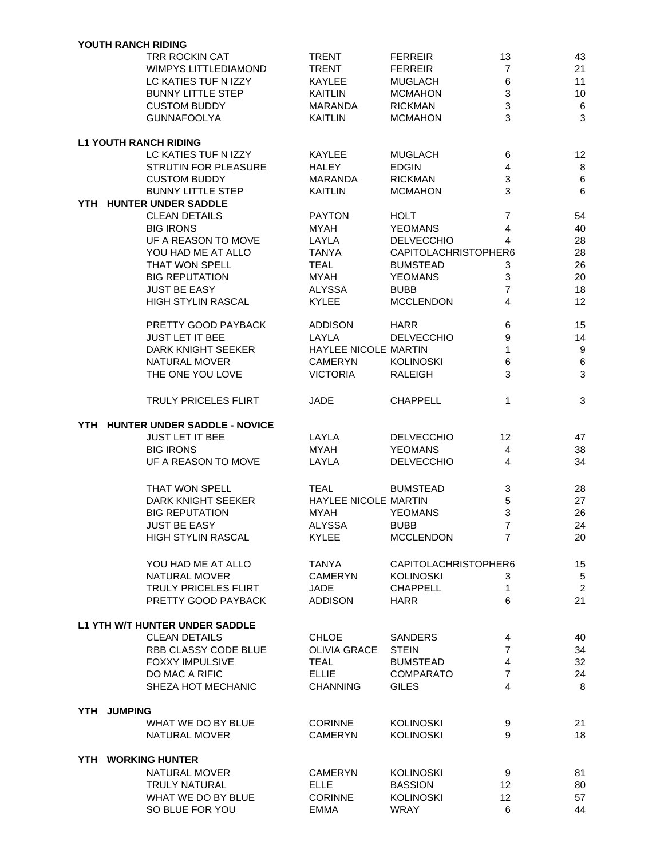|     |             | <b>YOUTH RANCH RIDING</b>           |                             |                      |                 |                 |
|-----|-------------|-------------------------------------|-----------------------------|----------------------|-----------------|-----------------|
|     |             | TRR ROCKIN CAT                      | <b>TRENT</b>                | <b>FERREIR</b>       | 13              | 43              |
|     |             | <b>WIMPYS LITTLEDIAMOND</b>         | <b>TRENT</b>                | <b>FERREIR</b>       | $\overline{7}$  | 21              |
|     |             | LC KATIES TUF N IZZY                | <b>KAYLEE</b>               | <b>MUGLACH</b>       | 6               | 11              |
|     |             | <b>BUNNY LITTLE STEP</b>            | <b>KAITLIN</b>              | <b>MCMAHON</b>       | 3               | 10              |
|     |             | <b>CUSTOM BUDDY</b>                 | <b>MARANDA</b>              | <b>RICKMAN</b>       | 3               | 6               |
|     |             | <b>GUNNAFOOLYA</b>                  | <b>KAITLIN</b>              | <b>MCMAHON</b>       | 3               | $\mathbf{3}$    |
|     |             |                                     |                             |                      |                 |                 |
|     |             | <b>L1 YOUTH RANCH RIDING</b>        |                             |                      |                 |                 |
|     |             | LC KATIES TUF N IZZY                | <b>KAYLEE</b>               | <b>MUGLACH</b>       | 6               | 12              |
|     |             | <b>STRUTIN FOR PLEASURE</b>         | <b>HALEY</b>                | <b>EDGIN</b>         | 4               | $\,8\,$         |
|     |             | <b>CUSTOM BUDDY</b>                 | MARANDA                     | <b>RICKMAN</b>       | 3               | $\,6\,$         |
|     |             | <b>BUNNY LITTLE STEP</b>            | <b>KAITLIN</b>              | <b>MCMAHON</b>       | 3               | $6\phantom{1}6$ |
|     |             | YTH HUNTER UNDER SADDLE             |                             |                      |                 |                 |
|     |             | <b>CLEAN DETAILS</b>                | <b>PAYTON</b>               | <b>HOLT</b>          | $\overline{7}$  | 54              |
|     |             | <b>BIG IRONS</b>                    | <b>MYAH</b>                 | <b>YEOMANS</b>       | 4               | 40              |
|     |             | UF A REASON TO MOVE                 | LAYLA                       | <b>DELVECCHIO</b>    | 4               | 28              |
|     |             | YOU HAD ME AT ALLO                  | <b>TANYA</b>                | CAPITOLACHRISTOPHER6 |                 | 28              |
|     |             |                                     | <b>TEAL</b>                 | <b>BUMSTEAD</b>      |                 | 26              |
|     |             | THAT WON SPELL                      |                             |                      | 3               |                 |
|     |             | <b>BIG REPUTATION</b>               | <b>MYAH</b>                 | <b>YEOMANS</b>       | 3               | 20              |
|     |             | <b>JUST BE EASY</b>                 | <b>ALYSSA</b>               | <b>BUBB</b>          | 7               | 18              |
|     |             | <b>HIGH STYLIN RASCAL</b>           | <b>KYLEE</b>                | <b>MCCLENDON</b>     | $\overline{4}$  | 12              |
|     |             | PRETTY GOOD PAYBACK                 | <b>ADDISON</b>              | <b>HARR</b>          | 6               | 15              |
|     |             |                                     |                             |                      |                 |                 |
|     |             | <b>JUST LET IT BEE</b>              | LAYLA                       | <b>DELVECCHIO</b>    | 9               | 14              |
|     |             | <b>DARK KNIGHT SEEKER</b>           | <b>HAYLEE NICOLE MARTIN</b> |                      | 1               | 9               |
|     |             | NATURAL MOVER                       | <b>CAMERYN</b>              | <b>KOLINOSKI</b>     | 6               | $\,6$           |
|     |             | THE ONE YOU LOVE                    | <b>VICTORIA</b>             | <b>RALEIGH</b>       | 3               | 3               |
|     |             | <b>TRULY PRICELES FLIRT</b>         | <b>JADE</b>                 | <b>CHAPPELL</b>      | 1               | 3               |
|     |             |                                     |                             |                      |                 |                 |
| YTH |             | <b>HUNTER UNDER SADDLE - NOVICE</b> |                             |                      |                 |                 |
|     |             | <b>JUST LET IT BEE</b>              | LAYLA                       | <b>DELVECCHIO</b>    | 12              | 47              |
|     |             | <b>BIG IRONS</b>                    | <b>MYAH</b>                 | <b>YEOMANS</b>       | 4               | 38              |
|     |             | UF A REASON TO MOVE                 | LAYLA                       | <b>DELVECCHIO</b>    | 4               | 34              |
|     |             |                                     | <b>TEAL</b>                 |                      |                 |                 |
|     |             | THAT WON SPELL                      |                             | <b>BUMSTEAD</b>      | 3               | 28              |
|     |             | DARK KNIGHT SEEKER                  | <b>HAYLEE NICOLE MARTIN</b> |                      | 5               | 27              |
|     |             | <b>BIG REPUTATION</b>               | <b>MYAH</b>                 | <b>YEOMANS</b>       | 3               | 26              |
|     |             | JUST BE EASY                        | ALYSSA                      | <b>BUBB</b>          | 7               | 24              |
|     |             | <b>HIGH STYLIN RASCAL</b>           | <b>KYLEE</b>                | <b>MCCLENDON</b>     | 7               | 20              |
|     |             | YOU HAD ME AT ALLO                  | TANYA                       | CAPITOLACHRISTOPHER6 |                 | 15              |
|     |             |                                     |                             |                      |                 |                 |
|     |             | <b>NATURAL MOVER</b>                | <b>CAMERYN</b>              | <b>KOLINOSKI</b>     | 3               | $\sqrt{5}$      |
|     |             | TRULY PRICELES FLIRT                | JADE                        | <b>CHAPPELL</b>      | 1               | $\sqrt{2}$      |
|     |             | PRETTY GOOD PAYBACK                 | <b>ADDISON</b>              | <b>HARR</b>          | 6               | 21              |
|     |             | L1 YTH W/T HUNTER UNDER SADDLE      |                             |                      |                 |                 |
|     |             | <b>CLEAN DETAILS</b>                | <b>CHLOE</b>                | <b>SANDERS</b>       | 4               | 40              |
|     |             | RBB CLASSY CODE BLUE                | OLIVIA GRACE                | <b>STEIN</b>         | $\overline{7}$  | 34              |
|     |             | <b>FOXXY IMPULSIVE</b>              | <b>TEAL</b>                 | <b>BUMSTEAD</b>      | 4               | 32              |
|     |             |                                     |                             |                      |                 |                 |
|     |             | DO MAC A RIFIC                      | <b>ELLIE</b>                | <b>COMPARATO</b>     | 7               | 24              |
|     |             | SHEZA HOT MECHANIC                  | <b>CHANNING</b>             | <b>GILES</b>         | 4               | 8               |
|     | YTH JUMPING |                                     |                             |                      |                 |                 |
|     |             | WHAT WE DO BY BLUE                  | <b>CORINNE</b>              | <b>KOLINOSKI</b>     | 9               | 21              |
|     |             | NATURAL MOVER                       | <b>CAMERYN</b>              | <b>KOLINOSKI</b>     | 9               | 18              |
|     |             |                                     |                             |                      |                 |                 |
|     |             | YTH WORKING HUNTER                  |                             |                      |                 |                 |
|     |             | NATURAL MOVER                       | <b>CAMERYN</b>              | <b>KOLINOSKI</b>     | 9               | 81              |
|     |             | TRULY NATURAL                       | <b>ELLE</b>                 | <b>BASSION</b>       | 12 <sup>2</sup> | 80              |
|     |             | WHAT WE DO BY BLUE                  | <b>CORINNE</b>              | <b>KOLINOSKI</b>     | 12 <sup>2</sup> | 57              |
|     |             | SO BLUE FOR YOU                     | <b>EMMA</b>                 | WRAY                 | 6               | 44              |
|     |             |                                     |                             |                      |                 |                 |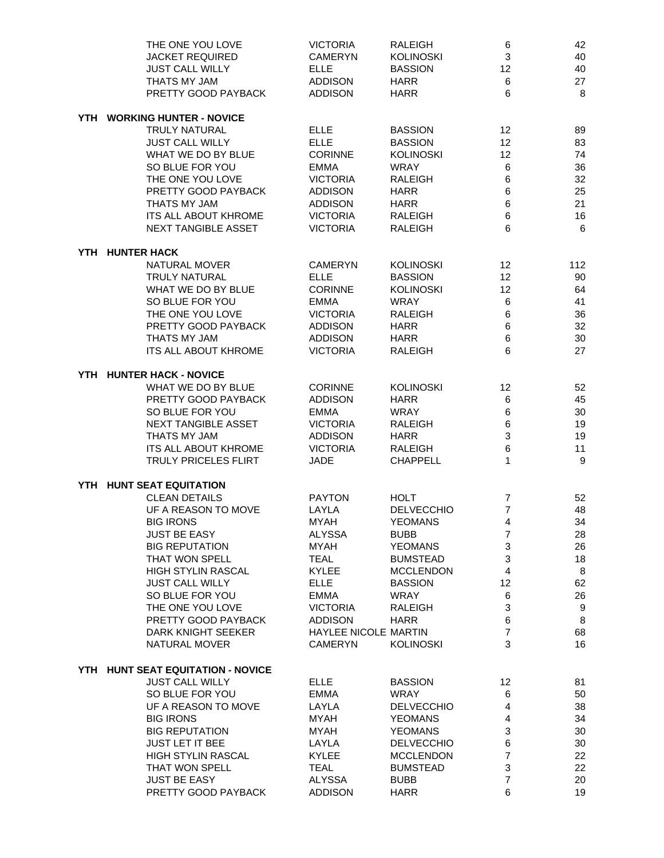| THE ONE YOU LOVE<br><b>JACKET REQUIRED</b><br><b>JUST CALL WILLY</b><br>THATS MY JAM<br>PRETTY GOOD PAYBACK | <b>VICTORIA</b><br><b>CAMERYN</b><br><b>ELLE</b><br><b>ADDISON</b><br><b>ADDISON</b> | <b>RALEIGH</b><br><b>KOLINOSKI</b><br><b>BASSION</b><br><b>HARR</b><br><b>HARR</b> | 6<br>3<br>12<br>6<br>6 | 42<br>40<br>40<br>27<br>8 |
|-------------------------------------------------------------------------------------------------------------|--------------------------------------------------------------------------------------|------------------------------------------------------------------------------------|------------------------|---------------------------|
| YTH WORKING HUNTER - NOVICE                                                                                 |                                                                                      |                                                                                    |                        |                           |
| TRULY NATURAL                                                                                               | <b>ELLE</b>                                                                          | <b>BASSION</b>                                                                     | 12                     | 89                        |
| <b>JUST CALL WILLY</b>                                                                                      | <b>ELLE</b>                                                                          | <b>BASSION</b>                                                                     | 12                     | 83                        |
| WHAT WE DO BY BLUE                                                                                          | <b>CORINNE</b>                                                                       | <b>KOLINOSKI</b>                                                                   | 12                     | 74                        |
| SO BLUE FOR YOU                                                                                             | <b>EMMA</b>                                                                          | <b>WRAY</b>                                                                        | 6                      | 36                        |
| THE ONE YOU LOVE                                                                                            | <b>VICTORIA</b>                                                                      | <b>RALEIGH</b>                                                                     | 6                      | 32                        |
| PRETTY GOOD PAYBACK                                                                                         | <b>ADDISON</b>                                                                       | <b>HARR</b>                                                                        | 6                      | 25                        |
| THATS MY JAM<br><b>ITS ALL ABOUT KHROME</b>                                                                 | <b>ADDISON</b><br><b>VICTORIA</b>                                                    | <b>HARR</b><br><b>RALEIGH</b>                                                      | 6<br>6                 | 21<br>16                  |
| <b>NEXT TANGIBLE ASSET</b>                                                                                  | <b>VICTORIA</b>                                                                      | <b>RALEIGH</b>                                                                     | 6                      | 6                         |
| YTH HUNTER HACK                                                                                             |                                                                                      |                                                                                    |                        |                           |
| <b>NATURAL MOVER</b>                                                                                        | <b>CAMERYN</b>                                                                       | <b>KOLINOSKI</b>                                                                   | 12                     | 112                       |
| TRULY NATURAL                                                                                               | <b>ELLE</b>                                                                          | <b>BASSION</b>                                                                     | 12                     | 90                        |
| WHAT WE DO BY BLUE                                                                                          | <b>CORINNE</b>                                                                       | <b>KOLINOSKI</b>                                                                   | 12                     | 64                        |
| SO BLUE FOR YOU                                                                                             | <b>EMMA</b>                                                                          | <b>WRAY</b>                                                                        | 6                      | 41                        |
| THE ONE YOU LOVE                                                                                            | <b>VICTORIA</b>                                                                      | <b>RALEIGH</b>                                                                     | 6                      | 36                        |
| PRETTY GOOD PAYBACK                                                                                         | <b>ADDISON</b>                                                                       | <b>HARR</b>                                                                        | 6                      | 32                        |
| THATS MY JAM                                                                                                | <b>ADDISON</b>                                                                       | <b>HARR</b>                                                                        | 6<br>6                 | 30<br>27                  |
| <b>ITS ALL ABOUT KHROME</b>                                                                                 | <b>VICTORIA</b>                                                                      | <b>RALEIGH</b>                                                                     |                        |                           |
| YTH HUNTER HACK - NOVICE<br>WHAT WE DO BY BLUE                                                              |                                                                                      |                                                                                    |                        |                           |
| PRETTY GOOD PAYBACK                                                                                         | <b>CORINNE</b><br><b>ADDISON</b>                                                     | <b>KOLINOSKI</b><br><b>HARR</b>                                                    | 12<br>6                | 52<br>45                  |
| SO BLUE FOR YOU                                                                                             | <b>EMMA</b>                                                                          | <b>WRAY</b>                                                                        | 6                      | 30                        |
| NEXT TANGIBLE ASSET                                                                                         | <b>VICTORIA</b>                                                                      | <b>RALEIGH</b>                                                                     | 6                      | 19                        |
| THATS MY JAM                                                                                                | <b>ADDISON</b>                                                                       | <b>HARR</b>                                                                        | 3                      | 19                        |
| <b>ITS ALL ABOUT KHROME</b>                                                                                 | <b>VICTORIA</b>                                                                      | <b>RALEIGH</b>                                                                     | 6                      | 11                        |
| TRULY PRICELES FLIRT                                                                                        | <b>JADE</b>                                                                          | <b>CHAPPELL</b>                                                                    | 1                      | 9                         |
| YTH HUNT SEAT EQUITATION                                                                                    |                                                                                      |                                                                                    |                        |                           |
| <b>CLEAN DETAILS</b>                                                                                        | <b>PAYTON</b>                                                                        | <b>HOLT</b>                                                                        | 7                      | 52                        |
| UF A REASON TO MOVE                                                                                         | LAYLA                                                                                | <b>DELVECCHIO</b>                                                                  | $\overline{7}$         | 48                        |
| <b>BIG IRONS</b>                                                                                            | <b>MYAH</b>                                                                          | <b>YEOMANS</b>                                                                     | 4                      | 34                        |
| <b>JUST BE EASY</b>                                                                                         | <b>ALYSSA</b>                                                                        | <b>BUBB</b>                                                                        | $\overline{7}$         | 28                        |
| <b>BIG REPUTATION</b><br>THAT WON SPELL                                                                     | <b>MYAH</b><br><b>TEAL</b>                                                           | <b>YEOMANS</b><br><b>BUMSTEAD</b>                                                  | 3<br>3                 | 26<br>18                  |
| <b>HIGH STYLIN RASCAL</b>                                                                                   | <b>KYLEE</b>                                                                         | <b>MCCLENDON</b>                                                                   | 4                      | 8                         |
| <b>JUST CALL WILLY</b>                                                                                      | <b>ELLE</b>                                                                          | <b>BASSION</b>                                                                     | 12                     | 62                        |
| SO BLUE FOR YOU                                                                                             | EMMA                                                                                 | <b>WRAY</b>                                                                        | 6                      | 26                        |
| THE ONE YOU LOVE                                                                                            | <b>VICTORIA</b>                                                                      | <b>RALEIGH</b>                                                                     | 3                      | 9                         |
| PRETTY GOOD PAYBACK                                                                                         | <b>ADDISON</b>                                                                       | <b>HARR</b>                                                                        | 6                      | $\bf8$                    |
| DARK KNIGHT SEEKER                                                                                          | HAYLEE NICOLE MARTIN                                                                 |                                                                                    | $\overline{7}$         | 68                        |
| NATURAL MOVER                                                                                               | <b>CAMERYN</b>                                                                       | <b>KOLINOSKI</b>                                                                   | 3                      | 16                        |
| YTH HUNT SEAT EQUITATION - NOVICE                                                                           |                                                                                      |                                                                                    |                        |                           |
| <b>JUST CALL WILLY</b>                                                                                      | <b>ELLE</b>                                                                          | <b>BASSION</b>                                                                     | 12                     | 81                        |
| SO BLUE FOR YOU                                                                                             | EMMA                                                                                 | <b>WRAY</b>                                                                        | 6                      | 50                        |
| UF A REASON TO MOVE                                                                                         | LAYLA                                                                                | <b>DELVECCHIO</b>                                                                  | 4                      | 38                        |
| <b>BIG IRONS</b>                                                                                            | MYAH                                                                                 | <b>YEOMANS</b>                                                                     | $\overline{4}$         | 34                        |
| <b>BIG REPUTATION</b>                                                                                       | MYAH                                                                                 | <b>YEOMANS</b>                                                                     | 3                      | 30                        |
| <b>JUST LET IT BEE</b>                                                                                      | LAYLA                                                                                | <b>DELVECCHIO</b>                                                                  | 6                      | 30                        |
| HIGH STYLIN RASCAL<br>THAT WON SPELL                                                                        | <b>KYLEE</b><br><b>TEAL</b>                                                          | <b>MCCLENDON</b><br><b>BUMSTEAD</b>                                                | $\overline{7}$<br>3    | 22<br>22                  |
| JUST BE EASY                                                                                                | <b>ALYSSA</b>                                                                        | <b>BUBB</b>                                                                        | $\overline{7}$         | 20                        |
| PRETTY GOOD PAYBACK                                                                                         | <b>ADDISON</b>                                                                       | <b>HARR</b>                                                                        | 6                      | 19                        |
|                                                                                                             |                                                                                      |                                                                                    |                        |                           |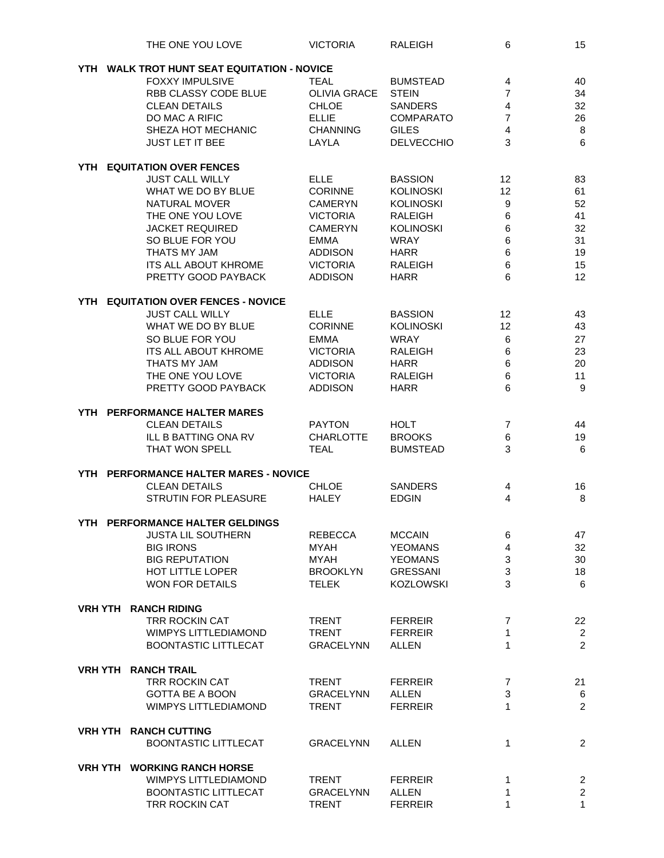|     | THE ONE YOU LOVE                            | <b>VICTORIA</b>     | RALEIGH           | 6                       | 15                                        |
|-----|---------------------------------------------|---------------------|-------------------|-------------------------|-------------------------------------------|
|     | YTH WALK TROT HUNT SEAT EQUITATION - NOVICE |                     |                   |                         |                                           |
|     | <b>FOXXY IMPULSIVE</b>                      | <b>TEAL</b>         | <b>BUMSTEAD</b>   | 4                       | 40                                        |
|     | RBB CLASSY CODE BLUE                        | <b>OLIVIA GRACE</b> | <b>STEIN</b>      | $\overline{7}$          | 34                                        |
|     | <b>CLEAN DETAILS</b>                        | <b>CHLOE</b>        | <b>SANDERS</b>    | 4                       | 32                                        |
|     |                                             |                     |                   | $\overline{7}$          |                                           |
|     | DO MAC A RIFIC                              | <b>ELLIE</b>        | <b>COMPARATO</b>  |                         | 26                                        |
|     | SHEZA HOT MECHANIC                          | <b>CHANNING</b>     | <b>GILES</b>      | 4                       | $\bf 8$                                   |
|     | <b>JUST LET IT BEE</b>                      | LAYLA               | <b>DELVECCHIO</b> | 3                       | 6                                         |
| YTH | <b>EQUITATION OVER FENCES</b>               |                     |                   |                         |                                           |
|     | <b>JUST CALL WILLY</b>                      | <b>ELLE</b>         | <b>BASSION</b>    | 12                      | 83                                        |
|     | WHAT WE DO BY BLUE                          | <b>CORINNE</b>      | <b>KOLINOSKI</b>  | 12                      | 61                                        |
|     | NATURAL MOVER                               | <b>CAMERYN</b>      | <b>KOLINOSKI</b>  | 9                       | 52                                        |
|     | THE ONE YOU LOVE                            | <b>VICTORIA</b>     | <b>RALEIGH</b>    | 6                       | 41                                        |
|     | <b>JACKET REQUIRED</b>                      | <b>CAMERYN</b>      | <b>KOLINOSKI</b>  | 6                       | 32                                        |
|     | SO BLUE FOR YOU                             | <b>EMMA</b>         | <b>WRAY</b>       | 6                       | 31                                        |
|     | THATS MY JAM                                | <b>ADDISON</b>      | <b>HARR</b>       | 6                       | 19                                        |
|     | <b>ITS ALL ABOUT KHROME</b>                 | <b>VICTORIA</b>     | <b>RALEIGH</b>    | 6                       | 15                                        |
|     | PRETTY GOOD PAYBACK                         |                     |                   | 6                       | 12                                        |
|     |                                             | <b>ADDISON</b>      | <b>HARR</b>       |                         |                                           |
| YTH | <b>EQUITATION OVER FENCES - NOVICE</b>      |                     |                   |                         |                                           |
|     | <b>JUST CALL WILLY</b>                      | <b>ELLE</b>         | <b>BASSION</b>    | 12                      | 43                                        |
|     | WHAT WE DO BY BLUE                          | <b>CORINNE</b>      | <b>KOLINOSKI</b>  | 12                      | 43                                        |
|     | SO BLUE FOR YOU                             | <b>EMMA</b>         | <b>WRAY</b>       | 6                       | 27                                        |
|     | ITS ALL ABOUT KHROME                        | <b>VICTORIA</b>     | <b>RALEIGH</b>    | 6                       | 23                                        |
|     | THATS MY JAM                                | <b>ADDISON</b>      | <b>HARR</b>       | 6                       | 20                                        |
|     | THE ONE YOU LOVE                            | <b>VICTORIA</b>     | <b>RALEIGH</b>    | 6                       | 11                                        |
|     | PRETTY GOOD PAYBACK                         | <b>ADDISON</b>      | <b>HARR</b>       | 6                       | 9                                         |
|     |                                             |                     |                   |                         |                                           |
|     | YTH PERFORMANCE HALTER MARES                |                     |                   |                         |                                           |
|     | <b>CLEAN DETAILS</b>                        | <b>PAYTON</b>       | <b>HOLT</b>       | $\overline{7}$          | 44                                        |
|     | ILL B BATTING ONA RV                        | <b>CHARLOTTE</b>    | <b>BROOKS</b>     | 6                       | 19                                        |
|     | THAT WON SPELL                              | <b>TEAL</b>         | <b>BUMSTEAD</b>   | 3                       | 6                                         |
|     | YTH PERFORMANCE HALTER MARES - NOVICE       |                     |                   |                         |                                           |
|     | <b>CLEAN DETAILS</b>                        | <b>CHLOE</b>        | <b>SANDERS</b>    | 4                       | 16                                        |
|     | <b>STRUTIN FOR PLEASURE</b>                 | <b>HALEY</b>        | <b>EDGIN</b>      | $\overline{4}$          | 8                                         |
|     | YTH PERFORMANCE HALTER GELDINGS             |                     |                   |                         |                                           |
|     | <b>JUSTA LIL SOUTHERN</b>                   | <b>REBECCA</b>      | <b>MCCAIN</b>     | 6                       | 47                                        |
|     | <b>BIG IRONS</b>                            | MYAH                | <b>YEOMANS</b>    | $\overline{\mathbf{4}}$ | 32                                        |
|     | <b>BIG REPUTATION</b>                       | MYAH                | <b>YEOMANS</b>    | 3                       | 30                                        |
|     | HOT LITTLE LOPER                            | <b>BROOKLYN</b>     | <b>GRESSANI</b>   | 3                       | 18                                        |
|     | WON FOR DETAILS                             | <b>TELEK</b>        | <b>KOZLOWSKI</b>  | 3                       | 6                                         |
|     | <b>VRH YTH RANCH RIDING</b>                 |                     |                   |                         |                                           |
|     | TRR ROCKIN CAT                              | <b>TRENT</b>        | <b>FERREIR</b>    | 7                       | 22                                        |
|     | <b>WIMPYS LITTLEDIAMOND</b>                 | <b>TRENT</b>        | <b>FERREIR</b>    | 1                       | $\overline{c}$                            |
|     |                                             |                     | <b>ALLEN</b>      | 1                       | $\overline{2}$                            |
|     | <b>BOONTASTIC LITTLECAT</b>                 | <b>GRACELYNN</b>    |                   |                         |                                           |
|     | <b>VRH YTH RANCH TRAIL</b>                  |                     |                   |                         |                                           |
|     | TRR ROCKIN CAT                              | <b>TRENT</b>        | <b>FERREIR</b>    | 7                       | 21                                        |
|     | <b>GOTTA BE A BOON</b>                      | <b>GRACELYNN</b>    | ALLEN             | 3                       | 6                                         |
|     | <b>WIMPYS LITTLEDIAMOND</b>                 | <b>TRENT</b>        | <b>FERREIR</b>    | 1                       | $\overline{c}$                            |
|     |                                             |                     |                   |                         |                                           |
|     | <b>VRH YTH RANCH CUTTING</b>                |                     |                   |                         |                                           |
|     | <b>BOONTASTIC LITTLECAT</b>                 | <b>GRACELYNN</b>    | ALLEN             | 1                       | $\overline{c}$                            |
|     | VRH YTH WORKING RANCH HORSE                 |                     |                   |                         |                                           |
|     | WIMPYS LITTLEDIAMOND                        | <b>TRENT</b>        | <b>FERREIR</b>    | 1                       |                                           |
|     | <b>BOONTASTIC LITTLECAT</b>                 | <b>GRACELYNN</b>    | <b>ALLEN</b>      | 1                       | $\overline{\mathbf{c}}$<br>$\overline{c}$ |